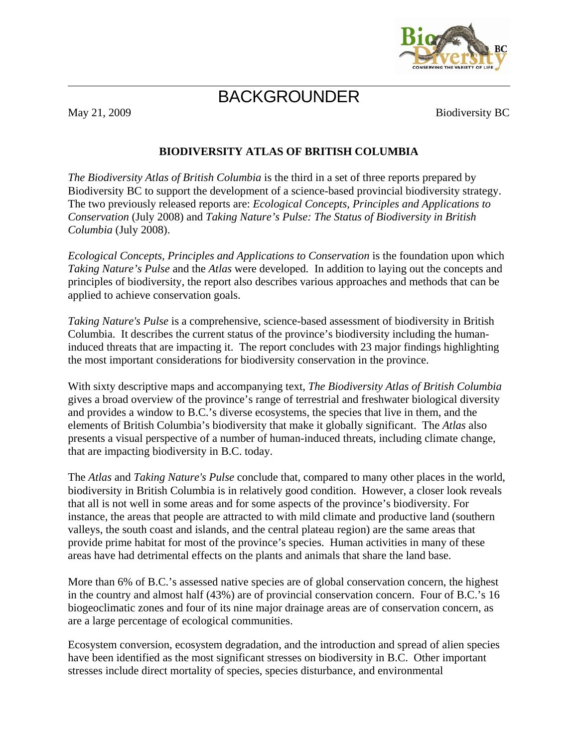

## BACKGROUNDER

May 21, 2009 Biodiversity BC

### **BIODIVERSITY ATLAS OF BRITISH COLUMBIA**

*The Biodiversity Atlas of British Columbia* is the third in a set of three reports prepared by Biodiversity BC to support the development of a science-based provincial biodiversity strategy. The two previously released reports are: *Ecological Concepts, Principles and Applications to Conservation* (July 2008) and *Taking Nature's Pulse: The Status of Biodiversity in British Columbia* (July 2008).

*Ecological Concepts, Principles and Applications to Conservation* is the foundation upon which *Taking Nature's Pulse* and the *Atlas* were developed*.* In addition to laying out the concepts and principles of biodiversity, the report also describes various approaches and methods that can be applied to achieve conservation goals.

*Taking Nature's Pulse* is a comprehensive, science-based assessment of biodiversity in British Columbia. It describes the current status of the province's biodiversity including the humaninduced threats that are impacting it. The report concludes with 23 major findings highlighting the most important considerations for biodiversity conservation in the province.

With sixty descriptive maps and accompanying text, *The Biodiversity Atlas of British Columbia*  gives a broad overview of the province's range of terrestrial and freshwater biological diversity and provides a window to B.C.'s diverse ecosystems, the species that live in them, and the elements of British Columbia's biodiversity that make it globally significant. The *Atlas* also presents a visual perspective of a number of human-induced threats, including climate change, that are impacting biodiversity in B.C. today.

The *Atlas* and *Taking Nature's Pulse* conclude that, compared to many other places in the world, biodiversity in British Columbia is in relatively good condition. However, a closer look reveals that all is not well in some areas and for some aspects of the province's biodiversity. For instance, the areas that people are attracted to with mild climate and productive land (southern valleys, the south coast and islands, and the central plateau region) are the same areas that provide prime habitat for most of the province's species. Human activities in many of these areas have had detrimental effects on the plants and animals that share the land base.

More than 6% of B.C.'s assessed native species are of global conservation concern, the highest in the country and almost half (43%) are of provincial conservation concern. Four of B.C.'s 16 biogeoclimatic zones and four of its nine major drainage areas are of conservation concern, as are a large percentage of ecological communities.

Ecosystem conversion, ecosystem degradation, and the introduction and spread of alien species have been identified as the most significant stresses on biodiversity in B.C. Other important stresses include direct mortality of species, species disturbance, and environmental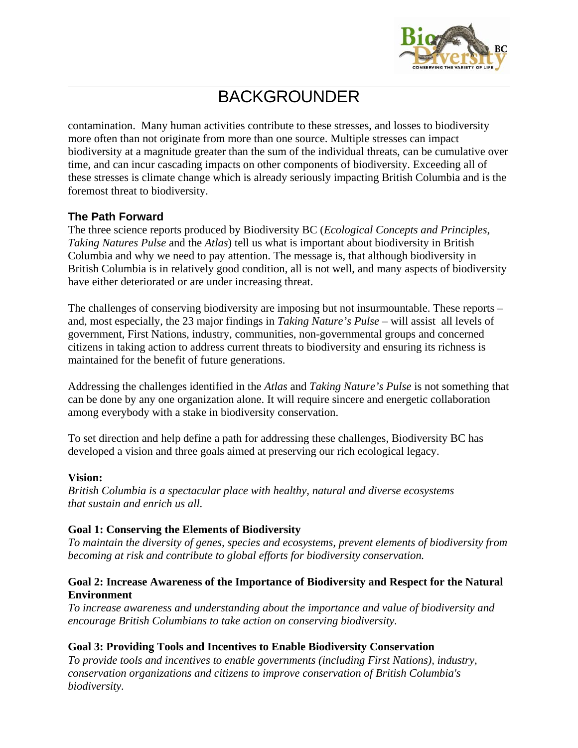

# BACKGROUNDER

contamination. Many human activities contribute to these stresses, and losses to biodiversity more often than not originate from more than one source. Multiple stresses can impact biodiversity at a magnitude greater than the sum of the individual threats, can be cumulative over time, and can incur cascading impacts on other components of biodiversity. Exceeding all of these stresses is climate change which is already seriously impacting British Columbia and is the foremost threat to biodiversity.

### **The Path Forward**

The three science reports produced by Biodiversity BC (*Ecological Concepts and Principles*, *Taking Natures Pulse* and the *Atlas*) tell us what is important about biodiversity in British Columbia and why we need to pay attention. The message is, that although biodiversity in British Columbia is in relatively good condition, all is not well, and many aspects of biodiversity have either deteriorated or are under increasing threat.

The challenges of conserving biodiversity are imposing but not insurmountable. These reports – and, most especially, the 23 major findings in *Taking Nature's Pulse* – will assist all levels of government, First Nations, industry, communities, non-governmental groups and concerned citizens in taking action to address current threats to biodiversity and ensuring its richness is maintained for the benefit of future generations.

Addressing the challenges identified in the *Atlas* and *Taking Nature's Pulse* is not something that can be done by any one organization alone. It will require sincere and energetic collaboration among everybody with a stake in biodiversity conservation.

To set direction and help define a path for addressing these challenges, Biodiversity BC has developed a vision and three goals aimed at preserving our rich ecological legacy.

#### **Vision:**

*British Columbia is a spectacular place with healthy, natural and diverse ecosystems that sustain and enrich us all.*

#### **Goal 1: Conserving the Elements of Biodiversity**

*To maintain the diversity of genes, species and ecosystems, prevent elements of biodiversity from becoming at risk and contribute to global efforts for biodiversity conservation.* 

#### **Goal 2: Increase Awareness of the Importance of Biodiversity and Respect for the Natural Environment**

*To increase awareness and understanding about the importance and value of biodiversity and encourage British Columbians to take action on conserving biodiversity.* 

#### **Goal 3: Providing Tools and Incentives to Enable Biodiversity Conservation**

*To provide tools and incentives to enable governments (including First Nations), industry, conservation organizations and citizens to improve conservation of British Columbia's biodiversity.*